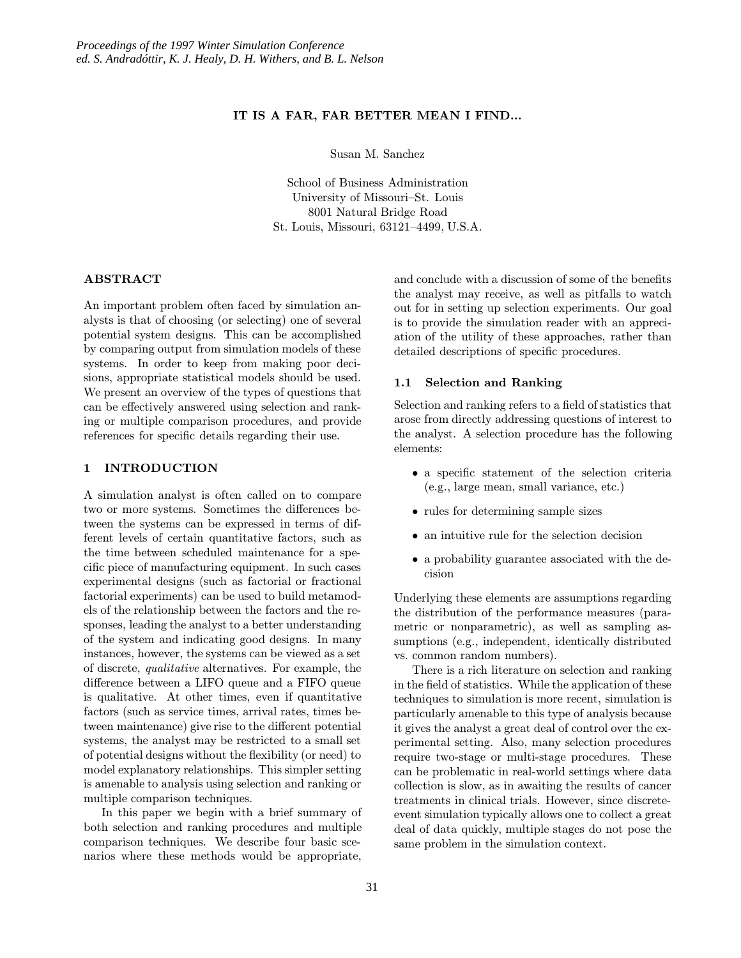## IT IS A FAR, FAR BETTER MEAN I FIND...

Susan M. Sanchez

School of Business Administration University of Missouri–St. Louis 8001 Natural Bridge Road St. Louis, Missouri, 63121–4499, U.S.A.

# ABSTRACT

An important problem often faced by simulation analysts is that of choosing (or selecting) one of several potential system designs. This can be accomplished by comparing output from simulation models of these systems. In order to keep from making poor decisions, appropriate statistical models should be used. We present an overview of the types of questions that can be effectively answered using selection and ranking or multiple comparison procedures, and provide references for specific details regarding their use.

### 1 INTRODUCTION

A simulation analyst is often called on to compare two or more systems. Sometimes the differences between the systems can be expressed in terms of different levels of certain quantitative factors, such as the time between scheduled maintenance for a specific piece of manufacturing equipment. In such cases experimental designs (such as factorial or fractional factorial experiments) can be used to build metamodels of the relationship between the factors and the responses, leading the analyst to a better understanding of the system and indicating good designs. In many instances, however, the systems can be viewed as a set of discrete, qualitative alternatives. For example, the difference between a LIFO queue and a FIFO queue is qualitative. At other times, even if quantitative factors (such as service times, arrival rates, times between maintenance) give rise to the different potential systems, the analyst may be restricted to a small set of potential designs without the flexibility (or need) to model explanatory relationships. This simpler setting is amenable to analysis using selection and ranking or multiple comparison techniques.

In this paper we begin with a brief summary of both selection and ranking procedures and multiple comparison techniques. We describe four basic scenarios where these methods would be appropriate,

and conclude with a discussion of some of the benefits the analyst may receive, as well as pitfalls to watch out for in setting up selection experiments. Our goal is to provide the simulation reader with an appreciation of the utility of these approaches, rather than detailed descriptions of specific procedures.

#### 1.1 Selection and Ranking

Selection and ranking refers to a field of statistics that arose from directly addressing questions of interest to the analyst. A selection procedure has the following elements:

- a specific statement of the selection criteria (e.g., large mean, small variance, etc.)
- rules for determining sample sizes
- an intuitive rule for the selection decision
- a probability guarantee associated with the decision

Underlying these elements are assumptions regarding the distribution of the performance measures (parametric or nonparametric), as well as sampling assumptions (e.g., independent, identically distributed vs. common random numbers).

There is a rich literature on selection and ranking in the field of statistics. While the application of these techniques to simulation is more recent, simulation is particularly amenable to this type of analysis because it gives the analyst a great deal of control over the experimental setting. Also, many selection procedures require two-stage or multi-stage procedures. These can be problematic in real-world settings where data collection is slow, as in awaiting the results of cancer treatments in clinical trials. However, since discreteevent simulation typically allows one to collect a great deal of data quickly, multiple stages do not pose the same problem in the simulation context.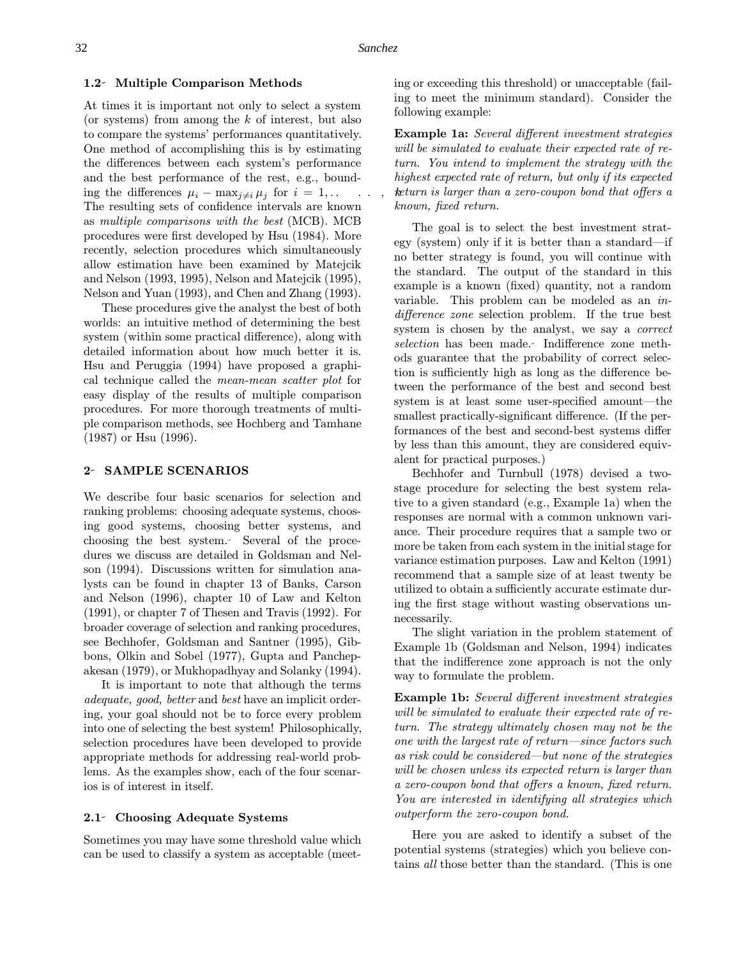### 1.2 Multiple Comparison Methods

At times it is important not only to select a system (or systems) from among the  $k$  of interest, but also to compare the systems' performances quantitatively. One method of accomplishing this is by estimating the differences between each system's performance and the best performance of the rest, e.g., bounding the differences  $\mu_i - \max_{i \neq i} \mu_i$  for  $i = 1, ...$ The resulting sets of confidence intervals are known as multiple comparisons with the best (MCB). MCB procedures were first developed by Hsu (1984). More recently, selection procedures which simultaneously allow estimation have been examined by Matejcik and Nelson (1993, 1995), Nelson and Matejcik (1995), Nelson and Yuan (1993), and Chen and Zhang (1993).

These procedures give the analyst the best of both worlds: an intuitive method of determining the best system (within some practical difference), along with detailed information about how much better it is. Hsu and Peruggia (1994) have proposed a graphical technique called the mean-mean scatter plot for easy display of the results of multiple comparison procedures. For more thorough treatments of multiple comparison methods, see Hochberg and Tamhane (1987) or Hsu (1996).

#### 2- SAMPLE SCENARIOS

We describe four basic scenarios for selection and ranking problems: choosing adequate systems, choosing good systems, choosing better systems, and choosing the best system. Several of the procedures we discuss are detailed in Goldsman and Nelson (1994). Discussions written for simulation analysts can be found in chapter 13 of Banks, Carson and Nelson (1996), chapter 10 of Law and Kelton (1991), or chapter 7 of Thesen and Travis (1992). For broader coverage of selection and ranking procedures, see Bechhofer, Goldsman and Santner (1995), Gibbons, Olkin and Sobel (1977), Gupta and Panchepakesan (1979), or Mukhopadhyay and Solanky (1994).

It is important to note that although the terms adequate, good, better and best have an implicit ordering, your goal should not be to force every problem into one of selecting the best system! Philosophically, selection procedures have been developed to provide appropriate methods for addressing real-world problems. As the examples show, each of the four scenarios is of interest in itself.

### 2.1 Choosing Adequate Systems

Sometimes you may have some threshold value which can be used to classify a system as acceptable (meeting or exceeding this threshold) or unacceptable (failing to meet the minimum standard). Consider the following example:

Example 1a: Several different investment strategies will be simulated to evaluate their expected rate of return. You intend to implement the strategy with the highest expected rate of return, but only if its expected keturn is larger than a zero-coupon bond that offers a known, fixed return.

The goal is to select the best investment strategy (system) only if it is better than a standard—if no better strategy is found, you will continue with the standard. The output of the standard in this example is a known (fixed) quantity, not a random variable. This problem can be modeled as an indifference zone selection problem. If the true best system is chosen by the analyst, we say a correct selection has been made. Indifference zone methods guarantee that the probability of correct selection is sufficiently high as long as the difference between the performance of the best and second best system is at least some user-specified amount—the smallest practically-significant difference. (If the performances of the best and second-best systems differ by less than this amount, they are considered equivalent for practical purposes.)

Bechhofer and Turnbull (1978) devised a twostage procedure for selecting the best system relative to a given standard (e.g., Example 1a) when the responses are normal with a common unknown variance. Their procedure requires that a sample two or more be taken from each system in the initial stage for variance estimation purposes. Law and Kelton (1991) recommend that a sample size of at least twenty be utilized to obtain a sufficiently accurate estimate during the first stage without wasting observations unnecessarily.

The slight variation in the problem statement of Example 1b (Goldsman and Nelson, 1994) indicates that the indifference zone approach is not the only way to formulate the problem.

Example 1b: Several different investment strategies will be simulated to evaluate their expected rate of return. The strategy ultimately chosen may not be the one with the largest rate of return—since factors such as risk could be considered—but none of the strategies will be chosen unless its expected return is larger than a zero-coupon bond that offers a known, fixed return. You are interested in identifying all strategies which outperform the zero-coupon bond.

Here you are asked to identify a subset of the potential systems (strategies) which you believe contains all those better than the standard. (This is one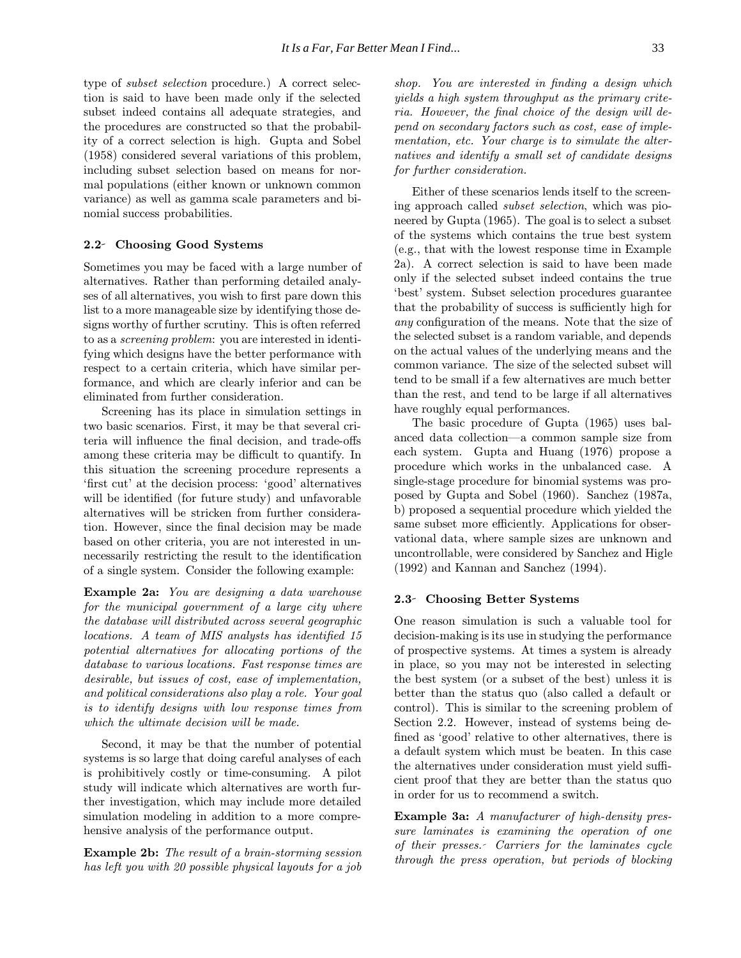type of subset selection procedure.) A correct selection is said to have been made only if the selected subset indeed contains all adequate strategies, and the procedures are constructed so that the probability of a correct selection is high. Gupta and Sobel (1958) considered several variations of this problem, including subset selection based on means for normal populations (either known or unknown common variance) as well as gamma scale parameters and binomial success probabilities.

## 2.2 Choosing Good Systems

Sometimes you may be faced with a large number of alternatives. Rather than performing detailed analyses of all alternatives, you wish to first pare down this list to a more manageable size by identifying those designs worthy of further scrutiny. This is often referred to as a screening problem: you are interested in identifying which designs have the better performance with respect to a certain criteria, which have similar performance, and which are clearly inferior and can be eliminated from further consideration.

Screening has its place in simulation settings in two basic scenarios. First, it may be that several criteria will influence the final decision, and trade-offs among these criteria may be difficult to quantify. In this situation the screening procedure represents a 'first cut' at the decision process: 'good' alternatives will be identified (for future study) and unfavorable alternatives will be stricken from further consideration. However, since the final decision may be made based on other criteria, you are not interested in unnecessarily restricting the result to the identification of a single system. Consider the following example:

Example 2a: You are designing a data warehouse for the municipal government of a large city where the database will distributed across several geographic locations. A team of MIS analysts has identified 15 potential alternatives for allocating portions of the database to various locations. Fast response times are desirable, but issues of cost, ease of implementation, and political considerations also play a role. Your goal is to identify designs with low response times from which the ultimate decision will be made.

Second, it may be that the number of potential systems is so large that doing careful analyses of each is prohibitively costly or time-consuming. A pilot study will indicate which alternatives are worth further investigation, which may include more detailed simulation modeling in addition to a more comprehensive analysis of the performance output.

Example 2b: The result of a brain-storming session has left you with 20 possible physical layouts for a job

shop. You are interested in finding a design which yields a high system throughput as the primary criteria. However, the final choice of the design will depend on secondary factors such as cost, ease of implementation, etc. Your charge is to simulate the alternatives and identify a small set of candidate designs for further consideration.

Either of these scenarios lends itself to the screening approach called subset selection, which was pioneered by Gupta (1965). The goal is to select a subset of the systems which contains the true best system (e.g., that with the lowest response time in Example 2a). A correct selection is said to have been made only if the selected subset indeed contains the true 'best' system. Subset selection procedures guarantee that the probability of success is sufficiently high for any configuration of the means. Note that the size of the selected subset is a random variable, and depends on the actual values of the underlying means and the common variance. The size of the selected subset will tend to be small if a few alternatives are much better than the rest, and tend to be large if all alternatives have roughly equal performances.

The basic procedure of Gupta (1965) uses balanced data collection—a common sample size from each system. Gupta and Huang (1976) propose a procedure which works in the unbalanced case. A single-stage procedure for binomial systems was proposed by Gupta and Sobel (1960). Sanchez (1987a, b) proposed a sequential procedure which yielded the same subset more efficiently. Applications for observational data, where sample sizes are unknown and uncontrollable, were considered by Sanchez and Higle (1992) and Kannan and Sanchez (1994).

# 2.3 Choosing Better Systems

One reason simulation is such a valuable tool for decision-making is its use in studying the performance of prospective systems. At times a system is already in place, so you may not be interested in selecting the best system (or a subset of the best) unless it is better than the status quo (also called a default or control). This is similar to the screening problem of Section 2.2. However, instead of systems being defined as 'good' relative to other alternatives, there is a default system which must be beaten. In this case the alternatives under consideration must yield sufficient proof that they are better than the status quo in order for us to recommend a switch.

Example 3a: A manufacturer of high-density pressure laminates is examining the operation of one of their presses. Carriers for the laminates cycle through the press operation, but periods of blocking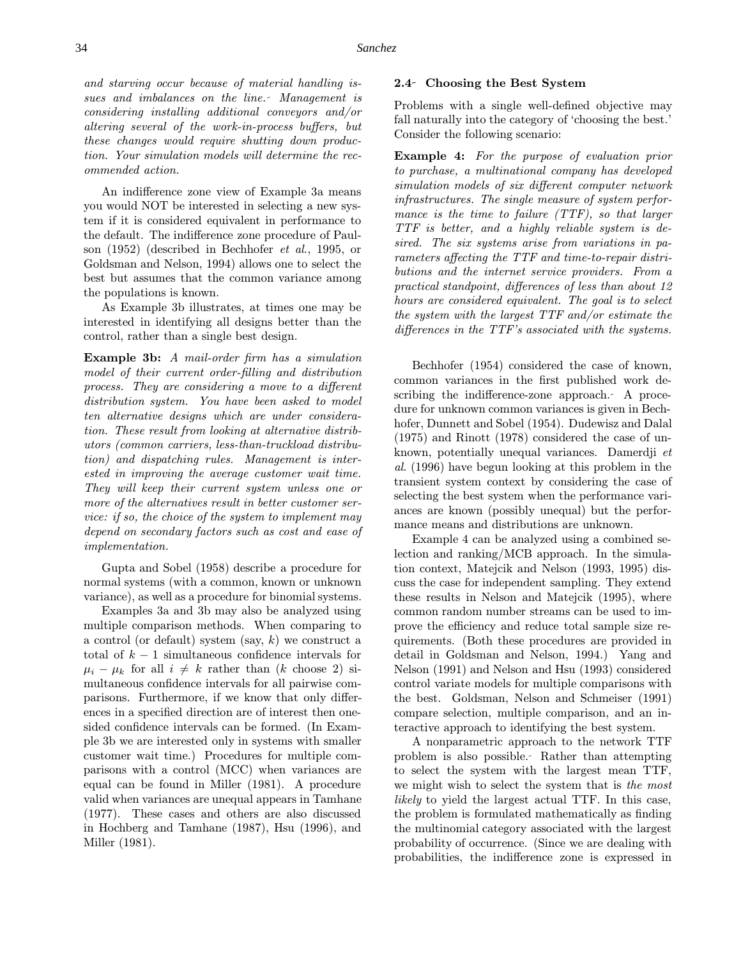and starving occur because of material handling issues and imbalances on the line. Management is considering installing additional conveyors and/or altering several of the work-in-process buffers, but these changes would require shutting down production. Your simulation models will determine the recommended action.

An indifference zone view of Example 3a means you would NOT be interested in selecting a new system if it is considered equivalent in performance to the default. The indifference zone procedure of Paulson (1952) (described in Bechhofer et al., 1995, or Goldsman and Nelson, 1994) allows one to select the best but assumes that the common variance among the populations is known.

As Example 3b illustrates, at times one may be interested in identifying all designs better than the control, rather than a single best design.

Example 3b: A mail-order firm has a simulation model of their current order-filling and distribution process. They are considering a move to a different distribution system. You have been asked to model ten alternative designs which are under consideration. These result from looking at alternative distributors (common carriers, less-than-truckload distribution) and dispatching rules. Management is interested in improving the average customer wait time. They will keep their current system unless one or more of the alternatives result in better customer service: if so, the choice of the system to implement may depend on secondary factors such as cost and ease of implementation.

Gupta and Sobel (1958) describe a procedure for normal systems (with a common, known or unknown variance), as well as a procedure for binomial systems.

Examples 3a and 3b may also be analyzed using multiple comparison methods. When comparing to a control (or default) system (say,  $k$ ) we construct a total of  $k-1$  simultaneous confidence intervals for  $\mu_i - \mu_k$  for all  $i \neq k$  rather than (k choose 2) simultaneous confidence intervals for all pairwise comparisons. Furthermore, if we know that only differences in a specified direction are of interest then onesided confidence intervals can be formed. (In Example 3b we are interested only in systems with smaller customer wait time.) Procedures for multiple comparisons with a control (MCC) when variances are equal can be found in Miller (1981). A procedure valid when variances are unequal appears in Tamhane (1977). These cases and others are also discussed in Hochberg and Tamhane (1987), Hsu (1996), and Miller (1981).

# 2.4 Choosing the Best System

Problems with a single well-defined objective may fall naturally into the category of 'choosing the best.' Consider the following scenario:

Example 4: For the purpose of evaluation prior to purchase, a multinational company has developed simulation models of six different computer network infrastructures. The single measure of system performance is the time to failure (TTF), so that larger TTF is better, and a highly reliable system is desired. The six systems arise from variations in parameters affecting the TTF and time-to-repair distributions and the internet service providers. From a practical standpoint, differences of less than about 12 hours are considered equivalent. The goal is to select the system with the largest TTF and/or estimate the differences in the TTF's associated with the systems.

Bechhofer (1954) considered the case of known, common variances in the first published work describing the indifference-zone approach. A procedure for unknown common variances is given in Bechhofer, Dunnett and Sobel (1954). Dudewisz and Dalal (1975) and Rinott (1978) considered the case of unknown, potentially unequal variances. Damerdji et al. (1996) have begun looking at this problem in the transient system context by considering the case of selecting the best system when the performance variances are known (possibly unequal) but the performance means and distributions are unknown.

Example 4 can be analyzed using a combined selection and ranking/MCB approach. In the simulation context, Matejcik and Nelson (1993, 1995) discuss the case for independent sampling. They extend these results in Nelson and Matejcik (1995), where common random number streams can be used to improve the efficiency and reduce total sample size requirements. (Both these procedures are provided in detail in Goldsman and Nelson, 1994.) Yang and Nelson (1991) and Nelson and Hsu (1993) considered control variate models for multiple comparisons with the best. Goldsman, Nelson and Schmeiser (1991) compare selection, multiple comparison, and an interactive approach to identifying the best system.

A nonparametric approach to the network TTF problem is also possible. Rather than attempting to select the system with the largest mean TTF, we might wish to select the system that is the most likely to yield the largest actual TTF. In this case, the problem is formulated mathematically as finding the multinomial category associated with the largest probability of occurrence. (Since we are dealing with probabilities, the indifference zone is expressed in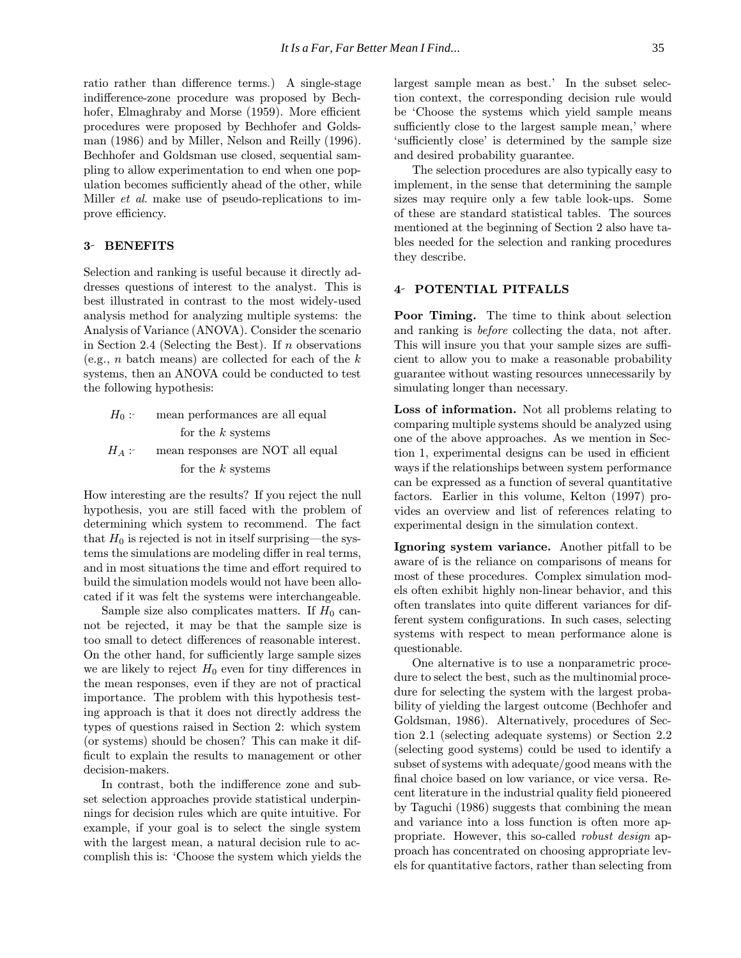ratio rather than difference terms.) A single-stage indifference-zone procedure was proposed by Bechhofer, Elmaghraby and Morse (1959). More efficient procedures were proposed by Bechhofer and Goldsman (1986) and by Miller, Nelson and Reilly (1996). Bechhofer and Goldsman use closed, sequential sampling to allow experimentation to end when one population becomes sufficiently ahead of the other, while Miller *et al.* make use of pseudo-replications to improve efficiency.

# 3- BENEFITS

Selection and ranking is useful because it directly addresses questions of interest to the analyst. This is best illustrated in contrast to the most widely-used analysis method for analyzing multiple systems: the Analysis of Variance (ANOVA). Consider the scenario in Section 2.4 (Selecting the Best). If  $n$  observations (e.g., *n* batch means) are collected for each of the  $k$ systems, then an ANOVA could be conducted to test the following hypothesis:

 $H_0$ : mean performances are all equal for the  $k$  systems  $H_A$  : mean responses are NOT all equal for the k systems

How interesting are the results? If you reject the null hypothesis, you are still faced with the problem of determining which system to recommend. The fact that  $H_0$  is rejected is not in itself surprising—the systems the simulations are modeling differ in real terms, and in most situations the time and effort required to build the simulation models would not have been allocated if it was felt the systems were interchangeable.

Sample size also complicates matters. If  $H_0$  cannot be rejected, it may be that the sample size is too small to detect differences of reasonable interest. On the other hand, for sufficiently large sample sizes we are likely to reject  $H_0$  even for tiny differences in the mean responses, even if they are not of practical importance. The problem with this hypothesis testing approach is that it does not directly address the types of questions raised in Section 2: which system (or systems) should be chosen? This can make it difficult to explain the results to management or other decision-makers.

In contrast, both the indifference zone and subset selection approaches provide statistical underpinnings for decision rules which are quite intuitive. For example, if your goal is to select the single system with the largest mean, a natural decision rule to accomplish this is: 'Choose the system which yields the largest sample mean as best.' In the subset selection context, the corresponding decision rule would be 'Choose the systems which yield sample means sufficiently close to the largest sample mean,' where 'sufficiently close' is determined by the sample size and desired probability guarantee.

The selection procedures are also typically easy to implement, in the sense that determining the sample sizes may require only a few table look-ups. Some of these are standard statistical tables. The sources mentioned at the beginning of Section 2 also have tables needed for the selection and ranking procedures they describe.

### 4 POTENTIAL PITFALLS

Poor Timing. The time to think about selection and ranking is before collecting the data, not after. This will insure you that your sample sizes are sufficient to allow you to make a reasonable probability guarantee without wasting resources unnecessarily by simulating longer than necessary.

Loss of information. Not all problems relating to comparing multiple systems should be analyzed using one of the above approaches. As we mention in Section 1, experimental designs can be used in efficient ways if the relationships between system performance can be expressed as a function of several quantitative factors. Earlier in this volume, Kelton (1997) provides an overview and list of references relating to experimental design in the simulation context.

Ignoring system variance. Another pitfall to be aware of is the reliance on comparisons of means for most of these procedures. Complex simulation models often exhibit highly non-linear behavior, and this often translates into quite different variances for different system configurations. In such cases, selecting systems with respect to mean performance alone is questionable.

One alternative is to use a nonparametric procedure to select the best, such as the multinomial procedure for selecting the system with the largest probability of yielding the largest outcome (Bechhofer and Goldsman, 1986). Alternatively, procedures of Section 2.1 (selecting adequate systems) or Section 2.2 (selecting good systems) could be used to identify a subset of systems with adequate/good means with the final choice based on low variance, or vice versa. Recent literature in the industrial quality field pioneered by Taguchi (1986) suggests that combining the mean and variance into a loss function is often more appropriate. However, this so-called robust design approach has concentrated on choosing appropriate levels for quantitative factors, rather than selecting from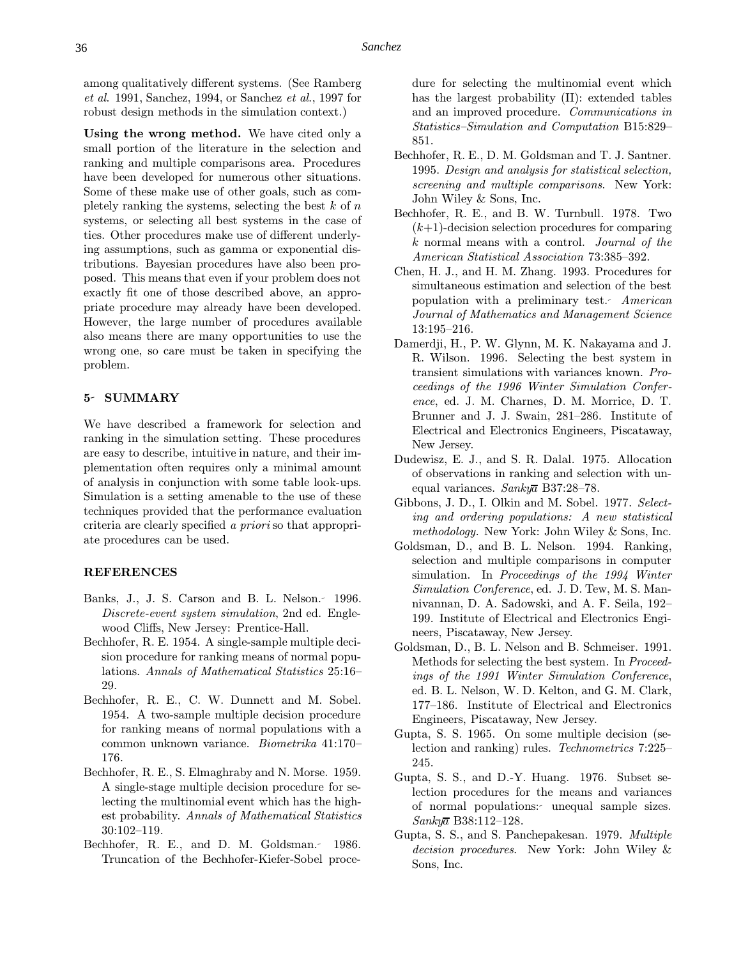among qualitatively different systems. (See Ramberg et al. 1991, Sanchez, 1994, or Sanchez et al., 1997 for robust design methods in the simulation context.)

Using the wrong method. We have cited only a small portion of the literature in the selection and ranking and multiple comparisons area. Procedures have been developed for numerous other situations. Some of these make use of other goals, such as completely ranking the systems, selecting the best  $k$  of  $n$ systems, or selecting all best systems in the case of ties. Other procedures make use of different underlying assumptions, such as gamma or exponential distributions. Bayesian procedures have also been proposed. This means that even if your problem does not exactly fit one of those described above, an appropriate procedure may already have been developed. However, the large number of procedures available also means there are many opportunities to use the wrong one, so care must be taken in specifying the problem.

# 5- SUMMARY

We have described a framework for selection and ranking in the simulation setting. These procedures are easy to describe, intuitive in nature, and their implementation often requires only a minimal amount of analysis in conjunction with some table look-ups. Simulation is a setting amenable to the use of these techniques provided that the performance evaluation criteria are clearly specified a priori so that appropriate procedures can be used.

### REFERENCES

- Banks, J., J. S. Carson and B. L. Nelson. 1996. Discrete-event system simulation, 2nd ed. Englewood Cliffs, New Jersey: Prentice-Hall.
- Bechhofer, R. E. 1954. A single-sample multiple decision procedure for ranking means of normal populations. Annals of Mathematical Statistics 25:16– 29.
- Bechhofer, R. E., C. W. Dunnett and M. Sobel. 1954. A two-sample multiple decision procedure for ranking means of normal populations with a common unknown variance. Biometrika 41:170– 176.
- Bechhofer, R. E., S. Elmaghraby and N. Morse. 1959. A single-stage multiple decision procedure for selecting the multinomial event which has the highest probability. Annals of Mathematical Statistics 30:102–119.
- Bechhofer, R. E., and D. M. Goldsman. 1986. Truncation of the Bechhofer-Kiefer-Sobel proce-

dure for selecting the multinomial event which has the largest probability (II): extended tables and an improved procedure. Communications in Statistics–Simulation and Computation B15:829– 851.

- Bechhofer, R. E., D. M. Goldsman and T. J. Santner. 1995. Design and analysis for statistical selection, screening and multiple comparisons. New York: John Wiley & Sons, Inc.
- Bechhofer, R. E., and B. W. Turnbull. 1978. Two  $(k+1)$ -decision selection procedures for comparing k normal means with a control. Journal of the American Statistical Association 73:385–392.
- Chen, H. J., and H. M. Zhang. 1993. Procedures for simultaneous estimation and selection of the best population with a preliminary test. American Journal of Mathematics and Management Science 13:195–216.
- Damerdji, H., P. W. Glynn, M. K. Nakayama and J. R. Wilson. 1996. Selecting the best system in transient simulations with variances known. Proceedings of the 1996 Winter Simulation Conference, ed. J. M. Charnes, D. M. Morrice, D. T. Brunner and J. J. Swain, 281–286. Institute of Electrical and Electronics Engineers, Piscataway, New Jersey.
- Dudewisz, E. J., and S. R. Dalal. 1975. Allocation of observations in ranking and selection with unequal variances.  $Sanku\bar{a}$  B37:28-78.
- Gibbons, J. D., I. Olkin and M. Sobel. 1977. Selecting and ordering populations: A new statistical methodology. New York: John Wiley & Sons, Inc.
- Goldsman, D., and B. L. Nelson. 1994. Ranking, selection and multiple comparisons in computer simulation. In Proceedings of the 1994 Winter Simulation Conference, ed. J. D. Tew, M. S. Mannivannan, D. A. Sadowski, and A. F. Seila, 192– 199. Institute of Electrical and Electronics Engineers, Piscataway, New Jersey.
- Goldsman, D., B. L. Nelson and B. Schmeiser. 1991. Methods for selecting the best system. In Proceedings of the 1991 Winter Simulation Conference, ed. B. L. Nelson, W. D. Kelton, and G. M. Clark, 177–186. Institute of Electrical and Electronics Engineers, Piscataway, New Jersey.
- Gupta, S. S. 1965. On some multiple decision (selection and ranking) rules. Technometrics 7:225– 245.
- Gupta, S. S., and D.-Y. Huang. 1976. Subset selection procedures for the means and variances of normal populations: unequal sample sizes. Sankya B38:112–128.
- Gupta, S. S., and S. Panchepakesan. 1979. Multiple decision procedures. New York: John Wiley & Sons, Inc.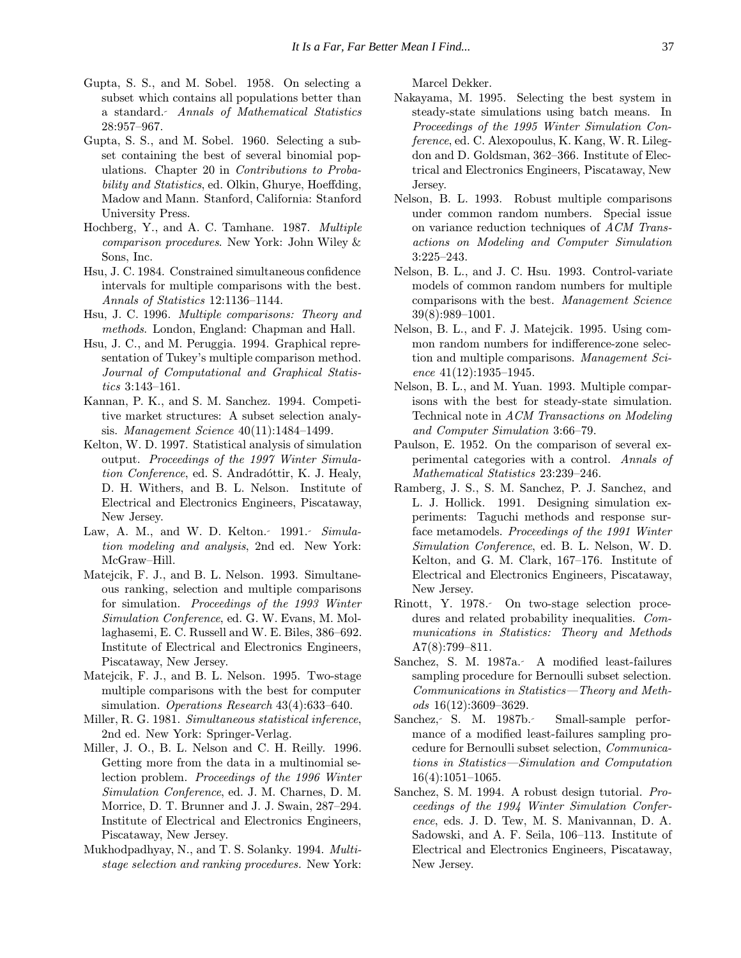- Gupta, S. S., and M. Sobel. 1958. On selecting a subset which contains all populations better than a standard. Annals of Mathematical Statistics 28:957–967.
- Gupta, S. S., and M. Sobel. 1960. Selecting a subset containing the best of several binomial populations. Chapter 20 in Contributions to Probability and Statistics, ed. Olkin, Ghurye, Hoeffding, Madow and Mann. Stanford, California: Stanford University Press.
- Hochberg, Y., and A. C. Tamhane. 1987. Multiple comparison procedures. New York: John Wiley & Sons, Inc.
- Hsu, J. C. 1984. Constrained simultaneous confidence intervals for multiple comparisons with the best. Annals of Statistics 12:1136–1144.
- Hsu, J. C. 1996. Multiple comparisons: Theory and methods. London, England: Chapman and Hall.
- Hsu, J. C., and M. Peruggia. 1994. Graphical representation of Tukey's multiple comparison method. Journal of Computational and Graphical Statistics 3:143–161.
- Kannan, P. K., and S. M. Sanchez. 1994. Competitive market structures: A subset selection analysis. Management Science 40(11):1484–1499.
- Kelton, W. D. 1997. Statistical analysis of simulation output. Proceedings of the 1997 Winter Simulation Conference, ed. S. Andradóttir, K. J. Healy, D. H. Withers, and B. L. Nelson. Institute of Electrical and Electronics Engineers, Piscataway, New Jersey.
- Law, A. M., and W. D. Kelton. 1991. Simulation modeling and analysis, 2nd ed. New York: McGraw–Hill.
- Matejcik, F. J., and B. L. Nelson. 1993. Simultaneous ranking, selection and multiple comparisons for simulation. Proceedings of the 1993 Winter Simulation Conference, ed. G. W. Evans, M. Mollaghasemi, E. C. Russell and W. E. Biles, 386–692. Institute of Electrical and Electronics Engineers, Piscataway, New Jersey.
- Matejcik, F. J., and B. L. Nelson. 1995. Two-stage multiple comparisons with the best for computer simulation. Operations Research 43(4):633–640.
- Miller, R. G. 1981. Simultaneous statistical inference, 2nd ed. New York: Springer-Verlag.
- Miller, J. O., B. L. Nelson and C. H. Reilly. 1996. Getting more from the data in a multinomial selection problem. Proceedings of the 1996 Winter Simulation Conference, ed. J. M. Charnes, D. M. Morrice, D. T. Brunner and J. J. Swain, 287–294. Institute of Electrical and Electronics Engineers, Piscataway, New Jersey.
- Mukhodpadhyay, N., and T. S. Solanky. 1994. Multistage selection and ranking procedures. New York:

Marcel Dekker.

- Nakayama, M. 1995. Selecting the best system in steady-state simulations using batch means. In Proceedings of the 1995 Winter Simulation Conference, ed. C. Alexopoulus, K. Kang, W. R. Lilegdon and D. Goldsman, 362–366. Institute of Electrical and Electronics Engineers, Piscataway, New Jersey.
- Nelson, B. L. 1993. Robust multiple comparisons under common random numbers. Special issue on variance reduction techniques of ACM Transactions on Modeling and Computer Simulation 3:225–243.
- Nelson, B. L., and J. C. Hsu. 1993. Control-variate models of common random numbers for multiple comparisons with the best. Management Science 39(8):989–1001.
- Nelson, B. L., and F. J. Matejcik. 1995. Using common random numbers for indifference-zone selection and multiple comparisons. Management Science 41(12):1935–1945.
- Nelson, B. L., and M. Yuan. 1993. Multiple comparisons with the best for steady-state simulation. Technical note in ACM Transactions on Modeling and Computer Simulation 3:66–79.
- Paulson, E. 1952. On the comparison of several experimental categories with a control. Annals of Mathematical Statistics 23:239–246.
- Ramberg, J. S., S. M. Sanchez, P. J. Sanchez, and L. J. Hollick. 1991. Designing simulation experiments: Taguchi methods and response surface metamodels. Proceedings of the 1991 Winter Simulation Conference, ed. B. L. Nelson, W. D. Kelton, and G. M. Clark, 167–176. Institute of Electrical and Electronics Engineers, Piscataway, New Jersey.
- Rinott, Y. 1978. On two-stage selection procedures and related probability inequalities. Communications in Statistics: Theory and Methods A7(8):799–811.
- Sanchez, S. M. 1987a. A modified least-failures sampling procedure for Bernoulli subset selection. Communications in Statistics—Theory and Methods 16(12):3609–3629.
- Sanchez, S. M. 1987b. Small-sample performance of a modified least-failures sampling procedure for Bernoulli subset selection, Communications in Statistics—Simulation and Computation 16(4):1051–1065.
- Sanchez, S. M. 1994. A robust design tutorial. Proceedings of the 1994 Winter Simulation Conference, eds. J. D. Tew, M. S. Manivannan, D. A. Sadowski, and A. F. Seila, 106–113. Institute of Electrical and Electronics Engineers, Piscataway, New Jersey.